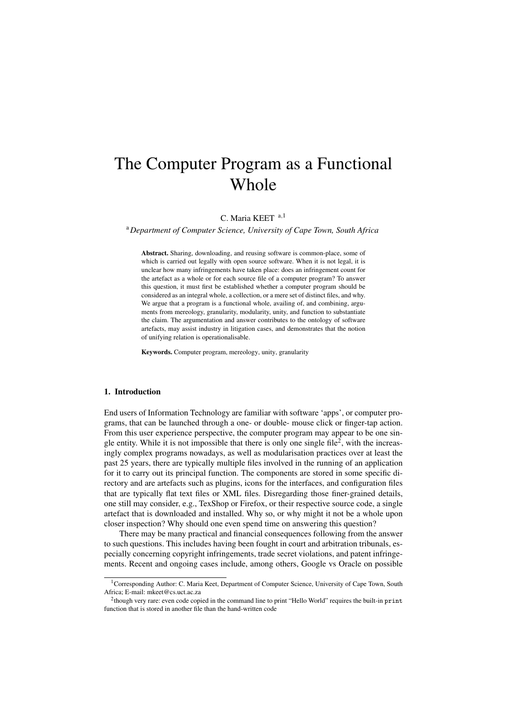# The Computer Program as a Functional Whole

C. Maria KEET <sup>a,1</sup>

<sup>a</sup>*Department of Computer Science, University of Cape Town, South Africa*

Abstract. Sharing, downloading, and reusing software is common-place, some of which is carried out legally with open source software. When it is not legal, it is unclear how many infringements have taken place: does an infringement count for the artefact as a whole or for each source file of a computer program? To answer this question, it must first be established whether a computer program should be considered as an integral whole, a collection, or a mere set of distinct files, and why. We argue that a program is a functional whole, availing of, and combining, arguments from mereology, granularity, modularity, unity, and function to substantiate the claim. The argumentation and answer contributes to the ontology of software artefacts, may assist industry in litigation cases, and demonstrates that the notion of unifying relation is operationalisable.

Keywords. Computer program, mereology, unity, granularity

# 1. Introduction

End users of Information Technology are familiar with software 'apps', or computer programs, that can be launched through a one- or double- mouse click or finger-tap action. From this user experience perspective, the computer program may appear to be one single entity. While it is not impossible that there is only one single file<sup>2</sup>, with the increasingly complex programs nowadays, as well as modularisation practices over at least the past 25 years, there are typically multiple files involved in the running of an application for it to carry out its principal function. The components are stored in some specific directory and are artefacts such as plugins, icons for the interfaces, and configuration files that are typically flat text files or XML files. Disregarding those finer-grained details, one still may consider, e.g., TexShop or Firefox, or their respective source code, a single artefact that is downloaded and installed. Why so, or why might it not be a whole upon closer inspection? Why should one even spend time on answering this question?

There may be many practical and financial consequences following from the answer to such questions. This includes having been fought in court and arbitration tribunals, especially concerning copyright infringements, trade secret violations, and patent infringements. Recent and ongoing cases include, among others, Google vs Oracle on possible

<sup>&</sup>lt;sup>1</sup>Corresponding Author: C. Maria Keet, Department of Computer Science, University of Cape Town, South Africa; E-mail: mkeet@cs.uct.ac.za

<sup>&</sup>lt;sup>2</sup>though very rare: even code copied in the command line to print "Hello World" requires the built-in print function that is stored in another file than the hand-written code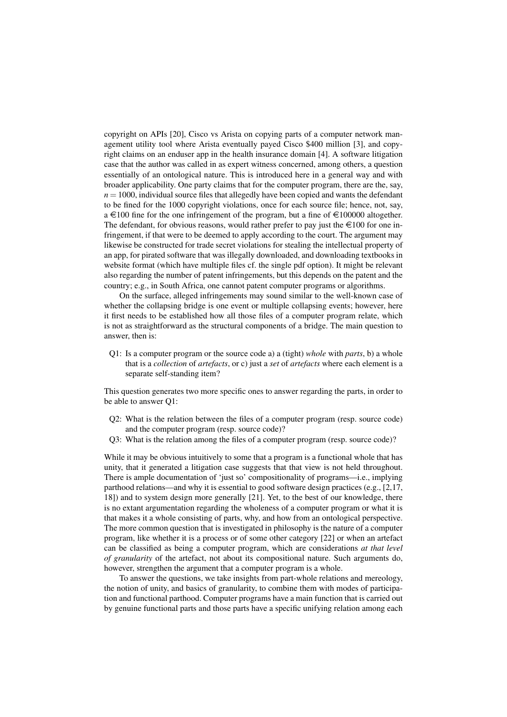copyright on APIs [20], Cisco vs Arista on copying parts of a computer network management utility tool where Arista eventually payed Cisco \$400 million [3], and copyright claims on an enduser app in the health insurance domain [4]. A software litigation case that the author was called in as expert witness concerned, among others, a question essentially of an ontological nature. This is introduced here in a general way and with broader applicability. One party claims that for the computer program, there are the, say,  $n = 1000$ , individual source files that allegedly have been copied and wants the defendant to be fined for the 1000 copyright violations, once for each source file; hence, not, say, a  $\in$ 100 fine for the one infringement of the program, but a fine of  $\in$ 100000 altogether. The defendant, for obvious reasons, would rather prefer to pay just the  $\in$ 100 for one infringement, if that were to be deemed to apply according to the court. The argument may likewise be constructed for trade secret violations for stealing the intellectual property of an app, for pirated software that was illegally downloaded, and downloading textbooks in website format (which have multiple files cf. the single pdf option). It might be relevant also regarding the number of patent infringements, but this depends on the patent and the country; e.g., in South Africa, one cannot patent computer programs or algorithms.

On the surface, alleged infringements may sound similar to the well-known case of whether the collapsing bridge is one event or multiple collapsing events; however, here it first needs to be established how all those files of a computer program relate, which is not as straightforward as the structural components of a bridge. The main question to answer, then is:

Q1: Is a computer program or the source code a) a (tight) *whole* with *parts*, b) a whole that is a *collection* of *artefacts*, or c) just a *set* of *artefacts* where each element is a separate self-standing item?

This question generates two more specific ones to answer regarding the parts, in order to be able to answer Q1:

- Q2: What is the relation between the files of a computer program (resp. source code) and the computer program (resp. source code)?
- Q3: What is the relation among the files of a computer program (resp. source code)?

While it may be obvious intuitively to some that a program is a functional whole that has unity, that it generated a litigation case suggests that that view is not held throughout. There is ample documentation of 'just so' compositionality of programs—i.e., implying parthood relations—and why it is essential to good software design practices (e.g., [2,17, 18]) and to system design more generally [21]. Yet, to the best of our knowledge, there is no extant argumentation regarding the wholeness of a computer program or what it is that makes it a whole consisting of parts, why, and how from an ontological perspective. The more common question that is investigated in philosophy is the nature of a computer program, like whether it is a process or of some other category [22] or when an artefact can be classified as being a computer program, which are considerations *at that level of granularity* of the artefact, not about its compositional nature. Such arguments do, however, strengthen the argument that a computer program is a whole.

To answer the questions, we take insights from part-whole relations and mereology, the notion of unity, and basics of granularity, to combine them with modes of participation and functional parthood. Computer programs have a main function that is carried out by genuine functional parts and those parts have a specific unifying relation among each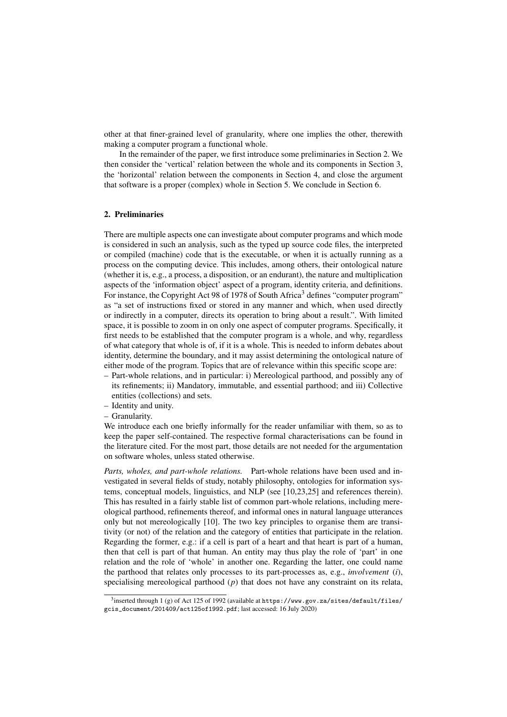other at that finer-grained level of granularity, where one implies the other, therewith making a computer program a functional whole.

In the remainder of the paper, we first introduce some preliminaries in Section 2. We then consider the 'vertical' relation between the whole and its components in Section 3, the 'horizontal' relation between the components in Section 4, and close the argument that software is a proper (complex) whole in Section 5. We conclude in Section 6.

## 2. Preliminaries

There are multiple aspects one can investigate about computer programs and which mode is considered in such an analysis, such as the typed up source code files, the interpreted or compiled (machine) code that is the executable, or when it is actually running as a process on the computing device. This includes, among others, their ontological nature (whether it is, e.g., a process, a disposition, or an endurant), the nature and multiplication aspects of the 'information object' aspect of a program, identity criteria, and definitions. For instance, the Copyright Act 98 of 1978 of South Africa<sup>3</sup> defines "computer program" as "a set of instructions fixed or stored in any manner and which, when used directly or indirectly in a computer, directs its operation to bring about a result.". With limited space, it is possible to zoom in on only one aspect of computer programs. Specifically, it first needs to be established that the computer program is a whole, and why, regardless of what category that whole is of, if it is a whole. This is needed to inform debates about identity, determine the boundary, and it may assist determining the ontological nature of either mode of the program. Topics that are of relevance within this specific scope are:

- Part-whole relations, and in particular: i) Mereological parthood, and possibly any of its refinements; ii) Mandatory, immutable, and essential parthood; and iii) Collective entities (collections) and sets.
- Identity and unity.
- Granularity.

We introduce each one briefly informally for the reader unfamiliar with them, so as to keep the paper self-contained. The respective formal characterisations can be found in the literature cited. For the most part, those details are not needed for the argumentation on software wholes, unless stated otherwise.

*Parts, wholes, and part-whole relations.* Part-whole relations have been used and investigated in several fields of study, notably philosophy, ontologies for information systems, conceptual models, linguistics, and NLP (see [10,23,25] and references therein). This has resulted in a fairly stable list of common part-whole relations, including mereological parthood, refinements thereof, and informal ones in natural language utterances only but not mereologically [10]. The two key principles to organise them are transitivity (or not) of the relation and the category of entities that participate in the relation. Regarding the former, e.g.: if a cell is part of a heart and that heart is part of a human, then that cell is part of that human. An entity may thus play the role of 'part' in one relation and the role of 'whole' in another one. Regarding the latter, one could name the parthood that relates only processes to its part-processes as, e.g., *involvement* (*i*), specialising mereological parthood (*p*) that does not have any constraint on its relata,

 $^3$ inserted through 1 (g) of Act 125 of 1992 (available at <code>https://www.gov.za/sites/default/files/</code> gcis\_document/201409/act125of1992.pdf; last accessed: 16 July 2020)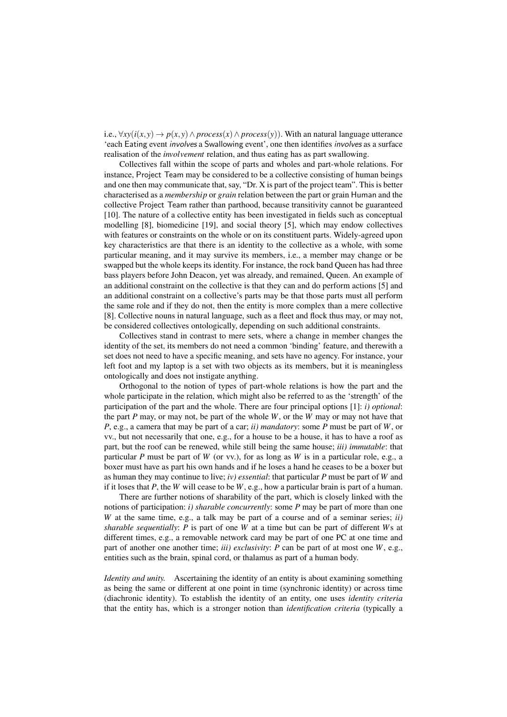i.e.,  $\forall xy(i(x, y) \rightarrow p(x, y) \land process(x) \land process(y)).$  With an natural language utterance 'each Eating event involves a Swallowing event', one then identifies involves as a surface realisation of the *involvement* relation, and thus eating has as part swallowing.

Collectives fall within the scope of parts and wholes and part-whole relations. For instance, Project Team may be considered to be a collective consisting of human beings and one then may communicate that, say, "Dr. X is part of the project team". This is better characterised as a *membership* or *grain* relation between the part or grain Human and the collective Project Team rather than parthood, because transitivity cannot be guaranteed [10]. The nature of a collective entity has been investigated in fields such as conceptual modelling [8], biomedicine [19], and social theory [5], which may endow collectives with features or constraints on the whole or on its constituent parts. Widely-agreed upon key characteristics are that there is an identity to the collective as a whole, with some particular meaning, and it may survive its members, i.e., a member may change or be swapped but the whole keeps its identity. For instance, the rock band Queen has had three bass players before John Deacon, yet was already, and remained, Queen. An example of an additional constraint on the collective is that they can and do perform actions [5] and an additional constraint on a collective's parts may be that those parts must all perform the same role and if they do not, then the entity is more complex than a mere collective [8]. Collective nouns in natural language, such as a fleet and flock thus may, or may not, be considered collectives ontologically, depending on such additional constraints.

Collectives stand in contrast to mere sets, where a change in member changes the identity of the set, its members do not need a common 'binding' feature, and therewith a set does not need to have a specific meaning, and sets have no agency. For instance, your left foot and my laptop is a set with two objects as its members, but it is meaningless ontologically and does not instigate anything.

Orthogonal to the notion of types of part-whole relations is how the part and the whole participate in the relation, which might also be referred to as the 'strength' of the participation of the part and the whole. There are four principal options [1]: *i) optional*: the part *P* may, or may not, be part of the whole *W*, or the *W* may or may not have that *P*, e.g., a camera that may be part of a car; *ii) mandatory*: some *P* must be part of *W*, or vv., but not necessarily that one, e.g., for a house to be a house, it has to have a roof as part, but the roof can be renewed, while still being the same house; *iii) immutable*: that particular *P* must be part of *W* (or vv.), for as long as *W* is in a particular role, e.g., a boxer must have as part his own hands and if he loses a hand he ceases to be a boxer but as human they may continue to live; *iv) essential*: that particular *P* must be part of *W* and if it loses that *P*, the *W* will cease to be *W*, e.g., how a particular brain is part of a human.

There are further notions of sharability of the part, which is closely linked with the notions of participation: *i) sharable concurrently*: some *P* may be part of more than one *W* at the same time, e.g., a talk may be part of a course and of a seminar series; *ii) sharable sequentially*: *P* is part of one *W* at a time but can be part of different *W*s at different times, e.g., a removable network card may be part of one PC at one time and part of another one another time; *iii) exclusivity*: *P* can be part of at most one *W*, e.g., entities such as the brain, spinal cord, or thalamus as part of a human body.

*Identity and unity.* Ascertaining the identity of an entity is about examining something as being the same or different at one point in time (synchronic identity) or across time (diachronic identity). To establish the identity of an entity, one uses *identity criteria* that the entity has, which is a stronger notion than *identification criteria* (typically a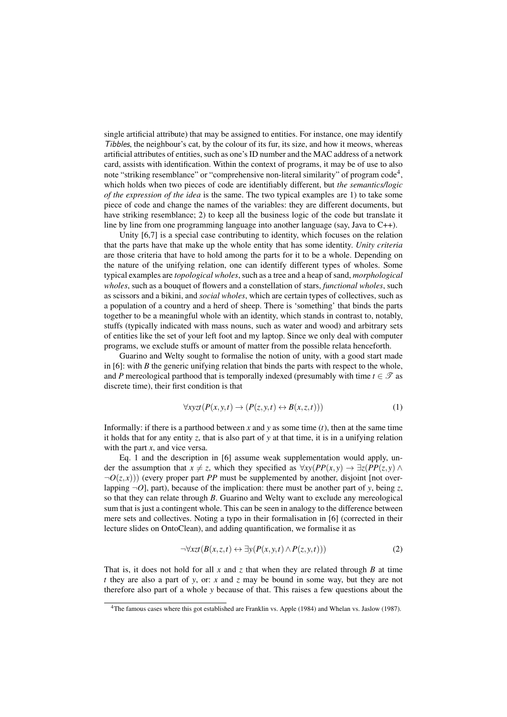single artificial attribute) that may be assigned to entities. For instance, one may identify Tibbles, the neighbour's cat, by the colour of its fur, its size, and how it meows, whereas artificial attributes of entities, such as one's ID number and the MAC address of a network card, assists with identification. Within the context of programs, it may be of use to also note "striking resemblance" or "comprehensive non-literal similarity" of program code<sup>4</sup>, which holds when two pieces of code are identifiably different, but *the semantics/logic of the expression of the idea* is the same. The two typical examples are 1) to take some piece of code and change the names of the variables: they are different documents, but have striking resemblance; 2) to keep all the business logic of the code but translate it line by line from one programming language into another language (say, Java to C++).

Unity [6,7] is a special case contributing to identity, which focuses on the relation that the parts have that make up the whole entity that has some identity. *Unity criteria* are those criteria that have to hold among the parts for it to be a whole. Depending on the nature of the unifying relation, one can identify different types of wholes. Some typical examples are *topological wholes*, such as a tree and a heap of sand, *morphological wholes*, such as a bouquet of flowers and a constellation of stars, *functional wholes*, such as scissors and a bikini, and *social wholes*, which are certain types of collectives, such as a population of a country and a herd of sheep. There is 'something' that binds the parts together to be a meaningful whole with an identity, which stands in contrast to, notably, stuffs (typically indicated with mass nouns, such as water and wood) and arbitrary sets of entities like the set of your left foot and my laptop. Since we only deal with computer programs, we exclude stuffs or amount of matter from the possible relata henceforth.

Guarino and Welty sought to formalise the notion of unity, with a good start made in [6]: with *B* the generic unifying relation that binds the parts with respect to the whole, and *P* mereological parthood that is temporally indexed (presumably with time  $t \in \mathcal{T}$  as discrete time), their first condition is that

$$
\forall x \mathbf{y} \mathbf{z} \mathbf{t} \left( P(x, y, t) \to (P(z, y, t) \leftrightarrow B(x, z, t)) \right) \tag{1}
$$

Informally: if there is a parthood between *x* and *y* as some time  $(t)$ , then at the same time it holds that for any entity *z*, that is also part of *y* at that time, it is in a unifying relation with the part *x*, and vice versa.

Eq. 1 and the description in [6] assume weak supplementation would apply, under the assumption that  $x \neq z$ , which they specified as  $\forall xy(PP(x,y) \rightarrow \exists z(PP(z,y) \land z)$  $\neg$  $O(z,x)$ )) (every proper part *PP* must be supplemented by another, disjoint [not overlapping  $\neg O$ , part), because of the implication: there must be another part of *y*, being *z*, so that they can relate through *B*. Guarino and Welty want to exclude any mereological sum that is just a contingent whole. This can be seen in analogy to the difference between mere sets and collectives. Noting a typo in their formalisation in [6] (corrected in their lecture slides on OntoClean), and adding quantification, we formalise it as

$$
\neg \forall xzt (B(x, z, t) \leftrightarrow \exists y (P(x, y, t) \land P(z, y, t)))
$$
\n(2)

That is, it does not hold for all *x* and *z* that when they are related through *B* at time *t* they are also a part of *y*, or: *x* and *z* may be bound in some way, but they are not therefore also part of a whole *y* because of that. This raises a few questions about the

<sup>4</sup>The famous cases where this got established are Franklin vs. Apple (1984) and Whelan vs. Jaslow (1987).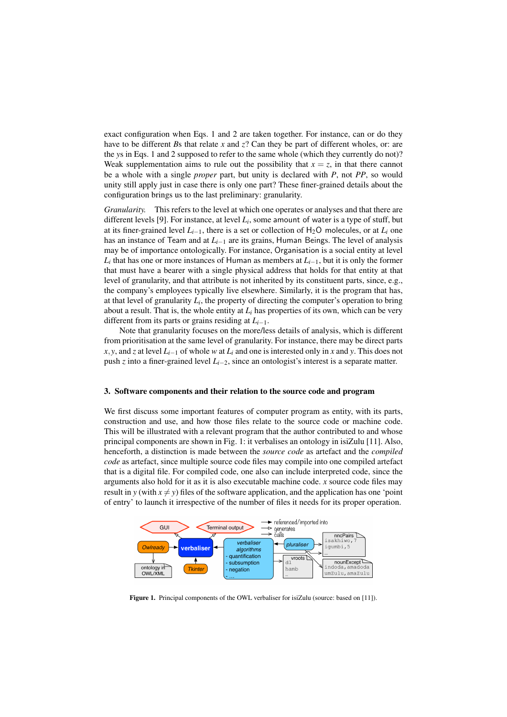exact configuration when Eqs. 1 and 2 are taken together. For instance, can or do they have to be different *B*s that relate *x* and *z*? Can they be part of different wholes, or: are the *y*s in Eqs. 1 and 2 supposed to refer to the same whole (which they currently do not)? Weak supplementation aims to rule out the possibility that  $x = z$ , in that there cannot be a whole with a single *proper* part, but unity is declared with *P*, not *PP*, so would unity still apply just in case there is only one part? These finer-grained details about the configuration brings us to the last preliminary: granularity.

*Granularity.* This refers to the level at which one operates or analyses and that there are different levels [9]. For instance, at level *L<sup>i</sup>* , some amount of water is a type of stuff, but at its finer-grained level  $L_{i-1}$ , there is a set or collection of  $H_2O$  molecules, or at  $L_i$  one has an instance of Team and at *Li*−<sup>1</sup> are its grains, Human Beings. The level of analysis may be of importance ontologically. For instance, Organisation is a social entity at level *Li* that has one or more instances of Human as members at *Li*−1, but it is only the former that must have a bearer with a single physical address that holds for that entity at that level of granularity, and that attribute is not inherited by its constituent parts, since, e.g., the company's employees typically live elsewhere. Similarly, it is the program that has, at that level of granularity  $L_i$ , the property of directing the computer's operation to bring about a result. That is, the whole entity at  $L_i$  has properties of its own, which can be very different from its parts or grains residing at *Li*−1.

Note that granularity focuses on the more/less details of analysis, which is different from prioritisation at the same level of granularity. For instance, there may be direct parts *x*, *y*, and *z* at level  $L_{i-1}$  of whole *w* at  $L_i$  and one is interested only in *x* and *y*. This does not push *z* into a finer-grained level *Li*−2, since an ontologist's interest is a separate matter.

#### 3. Software components and their relation to the source code and program

We first discuss some important features of computer program as entity, with its parts, construction and use, and how those files relate to the source code or machine code. This will be illustrated with a relevant program that the author contributed to and whose principal components are shown in Fig. 1: it verbalises an ontology in isiZulu [11]. Also, henceforth, a distinction is made between the *source code* as artefact and the *compiled code* as artefact, since multiple source code files may compile into one compiled artefact that is a digital file. For compiled code, one also can include interpreted code, since the arguments also hold for it as it is also executable machine code. *x* source code files may result in *y* (with  $x \neq y$ ) files of the software application, and the application has one 'point of entry' to launch it irrespective of the number of files it needs for its proper operation.



Figure 1. Principal components of the OWL verbaliser for isiZulu (source: based on [11]).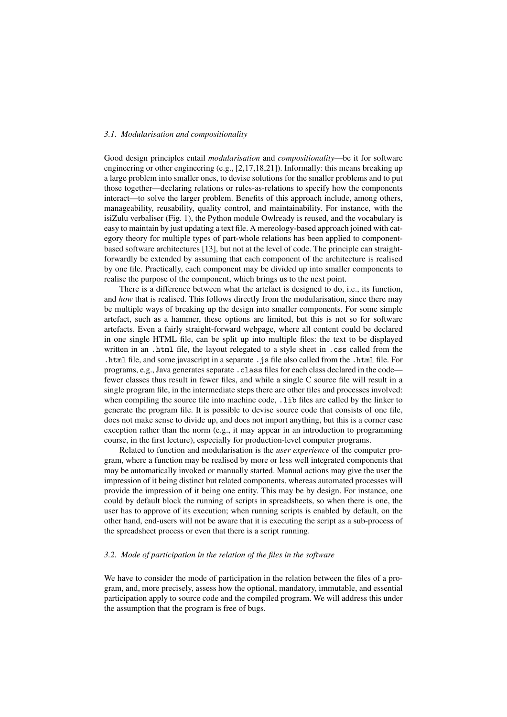## *3.1. Modularisation and compositionality*

Good design principles entail *modularisation* and *compositionality*—be it for software engineering or other engineering (e.g., [2,17,18,21]). Informally: this means breaking up a large problem into smaller ones, to devise solutions for the smaller problems and to put those together—declaring relations or rules-as-relations to specify how the components interact—to solve the larger problem. Benefits of this approach include, among others, manageability, reusability, quality control, and maintainability. For instance, with the isiZulu verbaliser (Fig. 1), the Python module Owlready is reused, and the vocabulary is easy to maintain by just updating a text file. A mereology-based approach joined with category theory for multiple types of part-whole relations has been applied to componentbased software architectures [13], but not at the level of code. The principle can straightforwardly be extended by assuming that each component of the architecture is realised by one file. Practically, each component may be divided up into smaller components to realise the purpose of the component, which brings us to the next point.

There is a difference between what the artefact is designed to do, i.e., its function, and *how* that is realised. This follows directly from the modularisation, since there may be multiple ways of breaking up the design into smaller components. For some simple artefact, such as a hammer, these options are limited, but this is not so for software artefacts. Even a fairly straight-forward webpage, where all content could be declared in one single HTML file, can be split up into multiple files: the text to be displayed written in an .html file, the layout relegated to a style sheet in .css called from the .html file, and some javascript in a separate .js file also called from the .html file. For programs, e.g., Java generates separate . class files for each class declared in the code fewer classes thus result in fewer files, and while a single C source file will result in a single program file, in the intermediate steps there are other files and processes involved: when compiling the source file into machine code, .1ib files are called by the linker to generate the program file. It is possible to devise source code that consists of one file, does not make sense to divide up, and does not import anything, but this is a corner case exception rather than the norm (e.g., it may appear in an introduction to programming course, in the first lecture), especially for production-level computer programs.

Related to function and modularisation is the *user experience* of the computer program, where a function may be realised by more or less well integrated components that may be automatically invoked or manually started. Manual actions may give the user the impression of it being distinct but related components, whereas automated processes will provide the impression of it being one entity. This may be by design. For instance, one could by default block the running of scripts in spreadsheets, so when there is one, the user has to approve of its execution; when running scripts is enabled by default, on the other hand, end-users will not be aware that it is executing the script as a sub-process of the spreadsheet process or even that there is a script running.

#### *3.2. Mode of participation in the relation of the files in the software*

We have to consider the mode of participation in the relation between the files of a program, and, more precisely, assess how the optional, mandatory, immutable, and essential participation apply to source code and the compiled program. We will address this under the assumption that the program is free of bugs.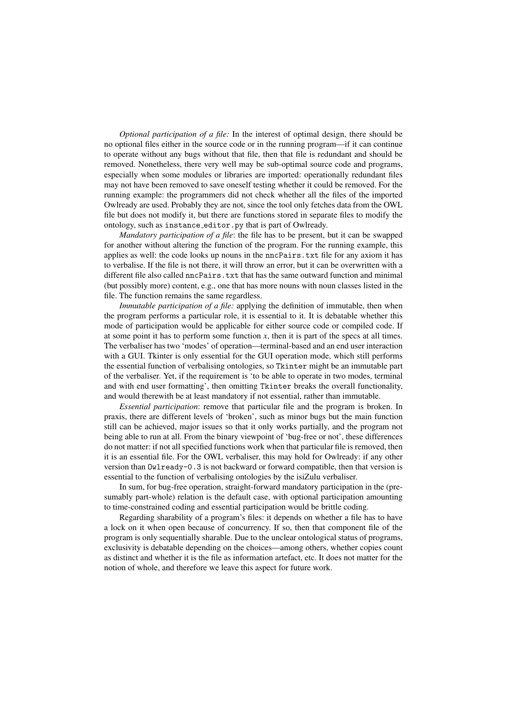*Optional participation of a file:* In the interest of optimal design, there should be no optional files either in the source code or in the running program—if it can continue to operate without any bugs without that file, then that file is redundant and should be removed. Nonetheless, there very well may be sub-optimal source code and programs, especially when some modules or libraries are imported: operationally redundant files may not have been removed to save oneself testing whether it could be removed. For the running example: the programmers did not check whether all the files of the imported Owlready are used. Probably they are not, since the tool only fetches data from the OWL file but does not modify it, but there are functions stored in separate files to modify the ontology, such as instance editor.py that is part of Owlready.

*Mandatory participation of a file*: the file has to be present, but it can be swapped for another without altering the function of the program. For the running example, this applies as well: the code looks up nouns in the nncPairs.txt file for any axiom it has to verbalise. If the file is not there, it will throw an error, but it can be overwritten with a different file also called nncPairs.txt that has the same outward function and minimal (but possibly more) content, e.g., one that has more nouns with noun classes listed in the file. The function remains the same regardless.

*Immutable participation of a file:* applying the definition of immutable, then when the program performs a particular role, it is essential to it. It is debatable whether this mode of participation would be applicable for either source code or compiled code. If at some point it has to perform some function  $x$ , then it is part of the specs at all times. The verbaliser has two 'modes' of operation—terminal-based and an end user interaction with a GUI. Tkinter is only essential for the GUI operation mode, which still performs the essential function of verbalising ontologies, so Tkinter might be an immutable part of the verbaliser. Yet, if the requirement is 'to be able to operate in two modes, terminal and with end user formatting', then omitting Tkinter breaks the overall functionality, and would therewith be at least mandatory if not essential, rather than immutable.

*Essential participation*: remove that particular file and the program is broken. In praxis, there are different levels of 'broken', such as minor bugs but the main function still can be achieved, major issues so that it only works partially, and the program not being able to run at all. From the binary viewpoint of 'bug-free or not', these differences do not matter: if not all specified functions work when that particular file is removed, then it is an essential file. For the OWL verbaliser, this may hold for Owlready: if any other version than Owlready-0.3 is not backward or forward compatible, then that version is essential to the function of verbalising ontologies by the isiZulu verbaliser.

In sum, for bug-free operation, straight-forward mandatory participation in the (presumably part-whole) relation is the default case, with optional participation amounting to time-constrained coding and essential participation would be brittle coding.

Regarding sharability of a program's files: it depends on whether a file has to have a lock on it when open because of concurrency. If so, then that component file of the program is only sequentially sharable. Due to the unclear ontological status of programs, exclusivity is debatable depending on the choices—among others, whether copies count as distinct and whether it is the file as information artefact, etc. It does not matter for the notion of whole, and therefore we leave this aspect for future work.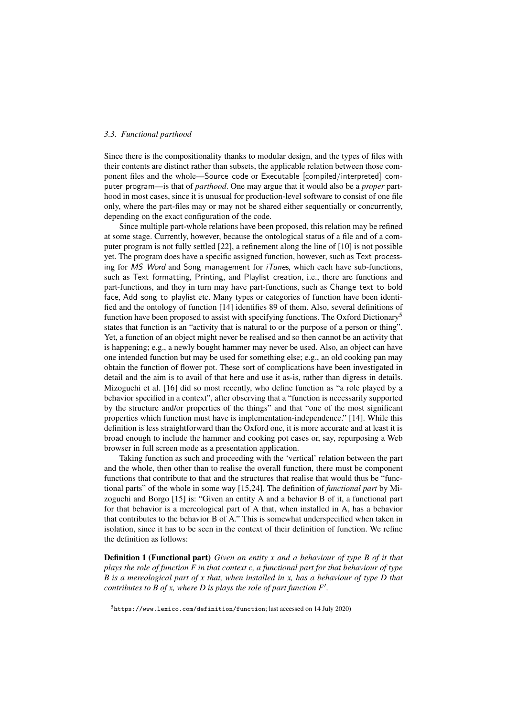## *3.3. Functional parthood*

Since there is the compositionality thanks to modular design, and the types of files with their contents are distinct rather than subsets, the applicable relation between those component files and the whole—Source code or Executable [compiled/interpreted] computer program—is that of *parthood*. One may argue that it would also be a *proper* parthood in most cases, since it is unusual for production-level software to consist of one file only, where the part-files may or may not be shared either sequentially or concurrently, depending on the exact configuration of the code.

Since multiple part-whole relations have been proposed, this relation may be refined at some stage. Currently, however, because the ontological status of a file and of a computer program is not fully settled [22], a refinement along the line of [10] is not possible yet. The program does have a specific assigned function, however, such as Text processing for MS Word and Song management for iTunes, which each have sub-functions, such as Text formatting, Printing, and Playlist creation, i.e., there are functions and part-functions, and they in turn may have part-functions, such as Change text to bold face, Add song to playlist etc. Many types or categories of function have been identified and the ontology of function [14] identifies 89 of them. Also, several definitions of function have been proposed to assist with specifying functions. The Oxford Dictionary<sup>5</sup> states that function is an "activity that is natural to or the purpose of a person or thing". Yet, a function of an object might never be realised and so then cannot be an activity that is happening; e.g., a newly bought hammer may never be used. Also, an object can have one intended function but may be used for something else; e.g., an old cooking pan may obtain the function of flower pot. These sort of complications have been investigated in detail and the aim is to avail of that here and use it as-is, rather than digress in details. Mizoguchi et al. [16] did so most recently, who define function as "a role played by a behavior specified in a context", after observing that a "function is necessarily supported by the structure and/or properties of the things" and that "one of the most significant properties which function must have is implementation-independence." [14]. While this definition is less straightforward than the Oxford one, it is more accurate and at least it is broad enough to include the hammer and cooking pot cases or, say, repurposing a Web browser in full screen mode as a presentation application.

Taking function as such and proceeding with the 'vertical' relation between the part and the whole, then other than to realise the overall function, there must be component functions that contribute to that and the structures that realise that would thus be "functional parts" of the whole in some way [15,24]. The definition of *functional part* by Mizoguchi and Borgo [15] is: "Given an entity A and a behavior B of it, a functional part for that behavior is a mereological part of A that, when installed in A, has a behavior that contributes to the behavior B of A." This is somewhat underspecified when taken in isolation, since it has to be seen in the context of their definition of function. We refine the definition as follows:

Definition 1 (Functional part) *Given an entity x and a behaviour of type B of it that plays the role of function F in that context c, a functional part for that behaviour of type B is a mereological part of x that, when installed in x, has a behaviour of type D that contributes to B of x, where D is plays the role of part function*  $F'$ *.* 

<sup>5</sup>https://www.lexico.com/definition/function; last accessed on 14 July 2020)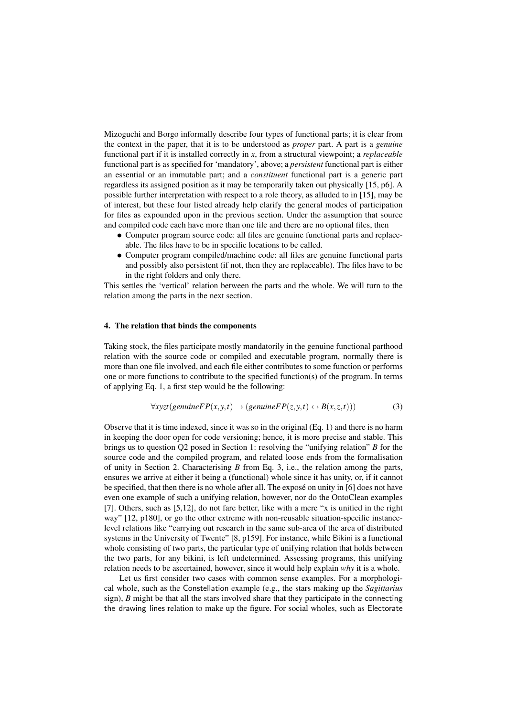Mizoguchi and Borgo informally describe four types of functional parts; it is clear from the context in the paper, that it is to be understood as *proper* part. A part is a *genuine* functional part if it is installed correctly in *x*, from a structural viewpoint; a *replaceable* functional part is as specified for 'mandatory', above; a *persistent* functional part is either an essential or an immutable part; and a *constituent* functional part is a generic part regardless its assigned position as it may be temporarily taken out physically [15, p6]. A possible further interpretation with respect to a role theory, as alluded to in [15], may be of interest, but these four listed already help clarify the general modes of participation for files as expounded upon in the previous section. Under the assumption that source and compiled code each have more than one file and there are no optional files, then

- Computer program source code: all files are genuine functional parts and replaceable. The files have to be in specific locations to be called.
- Computer program compiled/machine code: all files are genuine functional parts and possibly also persistent (if not, then they are replaceable). The files have to be in the right folders and only there.

This settles the 'vertical' relation between the parts and the whole. We will turn to the relation among the parts in the next section.

#### 4. The relation that binds the components

Taking stock, the files participate mostly mandatorily in the genuine functional parthood relation with the source code or compiled and executable program, normally there is more than one file involved, and each file either contributes to some function or performs one or more functions to contribute to the specified function(s) of the program. In terms of applying Eq. 1, a first step would be the following:

$$
\forall x yzt (genuineFP(x, y, t) \rightarrow (genuineFP(z, y, t) \leftrightarrow B(x, z, t)))
$$
\n(3)

Observe that it is time indexed, since it was so in the original (Eq. 1) and there is no harm in keeping the door open for code versioning; hence, it is more precise and stable. This brings us to question Q2 posed in Section 1: resolving the "unifying relation" *B* for the source code and the compiled program, and related loose ends from the formalisation of unity in Section 2. Characterising *B* from Eq. 3, i.e., the relation among the parts, ensures we arrive at either it being a (functional) whole since it has unity, or, if it cannot be specified, that then there is no whole after all. The expose on unity in [6] does not have even one example of such a unifying relation, however, nor do the OntoClean examples [7]. Others, such as [5,12], do not fare better, like with a mere "x is unified in the right way" [12, p180], or go the other extreme with non-reusable situation-specific instancelevel relations like "carrying out research in the same sub-area of the area of distributed systems in the University of Twente" [8, p159]. For instance, while Bikini is a functional whole consisting of two parts, the particular type of unifying relation that holds between the two parts, for any bikini, is left undetermined. Assessing programs, this unifying relation needs to be ascertained, however, since it would help explain *why* it is a whole.

Let us first consider two cases with common sense examples. For a morphological whole, such as the Constellation example (e.g., the stars making up the *Sagittarius* sign), *B* might be that all the stars involved share that they participate in the connecting the drawing lines relation to make up the figure. For social wholes, such as Electorate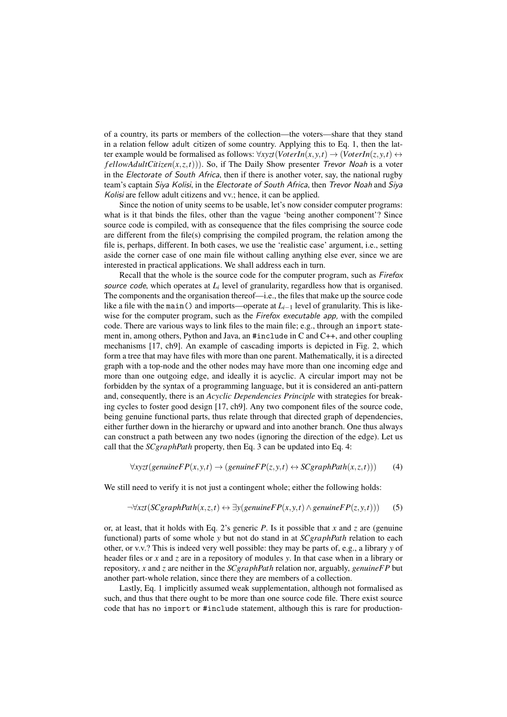of a country, its parts or members of the collection—the voters—share that they stand in a relation fellow adult citizen of some country. Applying this to Eq. 1, then the latter example would be formalised as follows:  $\forall x \forall x \forall f(\text{VoterIn}(x, y, t) \rightarrow (\text{VoterIn}(z, y, t) \leftrightarrow$ *f ellowAdultCitizen* $(x, z, t)$ )). So, if The Daily Show presenter *Trevor Noah* is a voter in the Electorate of South Africa, then if there is another voter, say, the national rugby team's captain Siya Kolisi, in the Electorate of South Africa, then Trevor Noah and Siya Kolisi are fellow adult citizens and vv.; hence, it can be applied.

Since the notion of unity seems to be usable, let's now consider computer programs: what is it that binds the files, other than the vague 'being another component'? Since source code is compiled, with as consequence that the files comprising the source code are different from the file(s) comprising the compiled program, the relation among the file is, perhaps, different. In both cases, we use the 'realistic case' argument, i.e., setting aside the corner case of one main file without calling anything else ever, since we are interested in practical applications. We shall address each in turn.

Recall that the whole is the source code for the computer program, such as Firefox source code, which operates at  $L<sub>i</sub>$  level of granularity, regardless how that is organised. The components and the organisation thereof—i.e., the files that make up the source code like a file with the main() and imports—operate at *Li*−<sup>1</sup> level of granularity. This is likewise for the computer program, such as the Firefox executable app, with the compiled code. There are various ways to link files to the main file; e.g., through an import statement in, among others, Python and Java, an #include in C and C++, and other coupling mechanisms [17, ch9]. An example of cascading imports is depicted in Fig. 2, which form a tree that may have files with more than one parent. Mathematically, it is a directed graph with a top-node and the other nodes may have more than one incoming edge and more than one outgoing edge, and ideally it is acyclic. A circular import may not be forbidden by the syntax of a programming language, but it is considered an anti-pattern and, consequently, there is an *Acyclic Dependencies Principle* with strategies for breaking cycles to foster good design [17, ch9]. Any two component files of the source code, being genuine functional parts, thus relate through that directed graph of dependencies, either further down in the hierarchy or upward and into another branch. One thus always can construct a path between any two nodes (ignoring the direction of the edge). Let us call that the *SCgraphPath* property, then Eq. 3 can be updated into Eq. 4:

$$
\forall x yzt (genuine FP(x, y, t) \rightarrow (genuine FP(z, y, t) \leftrightarrow SCgraphPath(x, z, t)))
$$
 (4)

We still need to verify it is not just a contingent whole; either the following holds:

$$
\neg \forall xzt (SCgraphPath(x, z, t) \leftrightarrow \exists y (genuine FP(x, y, t) \land genuine FP(z, y, t))) \tag{5}
$$

or, at least, that it holds with Eq. 2's generic *P*. Is it possible that *x* and *z* are (genuine functional) parts of some whole *y* but not do stand in at *SCgraphPath* relation to each other, or v.v.? This is indeed very well possible: they may be parts of, e.g., a library *y* of header files or *x* and *z* are in a repository of modules *y*. In that case when in a library or repository, *x* and *z* are neither in the *SCgraphPath* relation nor, arguably, *genuineFP* but another part-whole relation, since there they are members of a collection.

Lastly, Eq. 1 implicitly assumed weak supplementation, although not formalised as such, and thus that there ought to be more than one source code file. There exist source code that has no import or #include statement, although this is rare for production-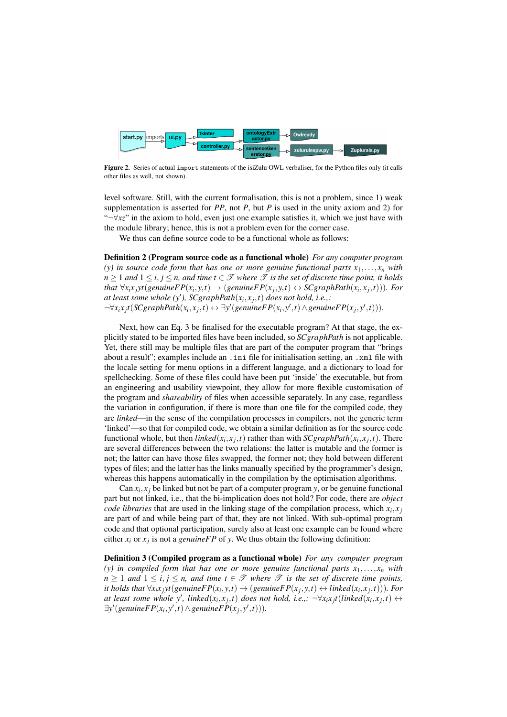

Figure 2. Series of actual import statements of the isiZulu OWL verbaliser, for the Python files only (it calls other files as well, not shown).

level software. Still, with the current formalisation, this is not a problem, since 1) weak supplementation is asserted for *PP*, not *P*, but *P* is used in the unity axiom and 2) for "¬∀*xz*" in the axiom to hold, even just one example satisfies it, which we just have with the module library; hence, this is not a problem even for the corner case.

We thus can define source code to be a functional whole as follows:

Definition 2 (Program source code as a functional whole) *For any computer program* (y) in source code form that has one or more genuine functional parts  $x_1, \ldots, x_n$  with *n* ≥ 1 *and*  $1 ≤ i, j ≤ n$ , *and time*  $t ∈ \mathcal{T}$  *where*  $\mathcal{T}$  *is the set of discrete time point, it holds* that  $\forall x_i x_j$ yt(genuine $FP(x_i, y, t) \rightarrow (genuineFP(x_j, y, t) \leftrightarrow SCgraphPath(x_i, x_j, t))$ ). For *at least some whole*  $(y')$ ,  $SCgraphPath(x_i, x_j, t)$  *does not hold, i.e.,:*  $\neg\forall x_i x_j t (SCgraphPath(x_i, x_j, t) \leftrightarrow \exists y' (genuine FP(x_i, y', t) \land genuine FP(x_j, y', t))).$ 

Next, how can Eq. 3 be finalised for the executable program? At that stage, the explicitly stated to be imported files have been included, so *SCgraphPath* is not applicable. Yet, there still may be multiple files that are part of the computer program that "brings about a result"; examples include an .ini file for initialisation setting, an .xml file with the locale setting for menu options in a different language, and a dictionary to load for spellchecking. Some of these files could have been put 'inside' the executable, but from an engineering and usability viewpoint, they allow for more flexible customisation of the program and *shareability* of files when accessible separately. In any case, regardless the variation in configuration, if there is more than one file for the compiled code, they are *linked*—in the sense of the compilation processes in compilers, not the generic term 'linked'—so that for compiled code, we obtain a similar definition as for the source code functional whole, but then *linked*( $x_i$ , $x_j$ , $t$ ) rather than with *SCgraphPath*( $x_i$ , $x_j$ , $t$ ). There are several differences between the two relations: the latter is mutable and the former is not; the latter can have those files swapped, the former not; they hold between different types of files; and the latter has the links manually specified by the programmer's design, whereas this happens automatically in the compilation by the optimisation algorithms.

Can  $x_i, x_j$  be linked but not be part of a computer program *y*, or be genuine functional part but not linked, i.e., that the bi-implication does not hold? For code, there are *object code libraries* that are used in the linking stage of the compilation process, which  $x_i, x_j$ are part of and while being part of that, they are not linked. With sub-optimal program code and that optional participation, surely also at least one example can be found where either  $x_i$  or  $x_j$  is not a *genuineFP* of *y*. We thus obtain the following definition:

Definition 3 (Compiled program as a functional whole) *For any computer program* (y) in compiled form that has one or more genuine functional parts  $x_1, \ldots, x_n$  with  $n \geq 1$  *and*  $1 \leq i, j \leq n$ , *and time*  $t \in \mathcal{T}$  *where*  $\mathcal{T}$  *is the set of discrete time points,* it holds that  $\forall x_i x_j$ yt(genuine $FP(x_i, y, t) \rightarrow (genuine FP(x_j, y, t) \leftrightarrow linked(x_i, x_j, t))$ ). For at least some whole y', linked $(x_i, x_j, t)$  does not hold, i.e.,:  $\neg \forall x_i x_j t (linked(x_i, x_j, t) \leftrightarrow$  $\exists y' (genuineFP(x_i, y', t) \land genuineFP(x_j, y', t))).$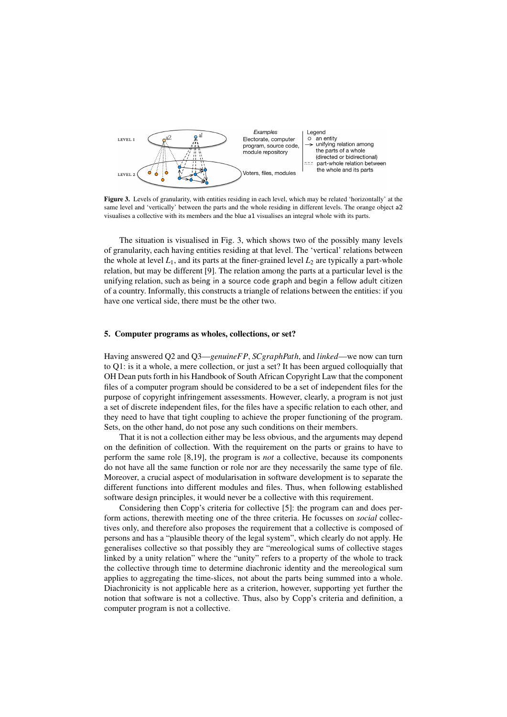

Figure 3. Levels of granularity, with entities residing in each level, which may be related 'horizontally' at the same level and 'vertically' between the parts and the whole residing in different levels. The orange object a2 visualises a collective with its members and the blue a1 visualises an integral whole with its parts.

The situation is visualised in Fig. 3, which shows two of the possibly many levels of granularity, each having entities residing at that level. The 'vertical' relations between the whole at level  $L_1$ , and its parts at the finer-grained level  $L_2$  are typically a part-whole relation, but may be different [9]. The relation among the parts at a particular level is the unifying relation, such as being in a source code graph and begin a fellow adult citizen of a country. Informally, this constructs a triangle of relations between the entities: if you have one vertical side, there must be the other two.

#### 5. Computer programs as wholes, collections, or set?

Having answered Q2 and Q3—*genuineFP*, *SCgraphPath*, and *linked*—we now can turn to Q1: is it a whole, a mere collection, or just a set? It has been argued colloquially that OH Dean puts forth in his Handbook of South African Copyright Law that the component files of a computer program should be considered to be a set of independent files for the purpose of copyright infringement assessments. However, clearly, a program is not just a set of discrete independent files, for the files have a specific relation to each other, and they need to have that tight coupling to achieve the proper functioning of the program. Sets, on the other hand, do not pose any such conditions on their members.

That it is not a collection either may be less obvious, and the arguments may depend on the definition of collection. With the requirement on the parts or grains to have to perform the same role [8,19], the program is *not* a collective, because its components do not have all the same function or role nor are they necessarily the same type of file. Moreover, a crucial aspect of modularisation in software development is to separate the different functions into different modules and files. Thus, when following established software design principles, it would never be a collective with this requirement.

Considering then Copp's criteria for collective [5]: the program can and does perform actions, therewith meeting one of the three criteria. He focusses on *social* collectives only, and therefore also proposes the requirement that a collective is composed of persons and has a "plausible theory of the legal system", which clearly do not apply. He generalises collective so that possibly they are "mereological sums of collective stages linked by a unity relation" where the "unity" refers to a property of the whole to track the collective through time to determine diachronic identity and the mereological sum applies to aggregating the time-slices, not about the parts being summed into a whole. Diachronicity is not applicable here as a criterion, however, supporting yet further the notion that software is not a collective. Thus, also by Copp's criteria and definition, a computer program is not a collective.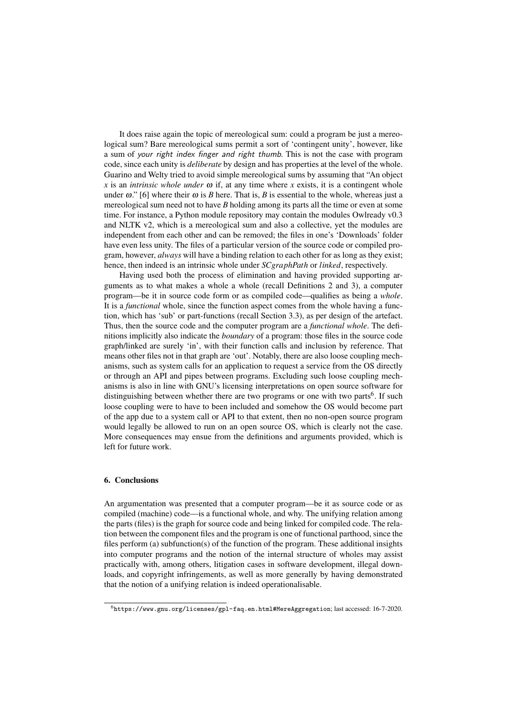It does raise again the topic of mereological sum: could a program be just a mereological sum? Bare mereological sums permit a sort of 'contingent unity', however, like a sum of your right index finger and right thumb. This is not the case with program code, since each unity is *deliberate* by design and has properties at the level of the whole. Guarino and Welty tried to avoid simple mereological sums by assuming that "An object  $x$  is an *intrinsic whole under*  $\omega$  if, at any time where  $x$  exists, it is a contingent whole under  $\omega$ ." [6] where their  $\omega$  is *B* here. That is, *B* is essential to the whole, whereas just a mereological sum need not to have *B* holding among its parts all the time or even at some time. For instance, a Python module repository may contain the modules Owlready v0.3 and NLTK v2, which is a mereological sum and also a collective, yet the modules are independent from each other and can be removed; the files in one's 'Downloads' folder have even less unity. The files of a particular version of the source code or compiled program, however, *always* will have a binding relation to each other for as long as they exist; hence, then indeed is an intrinsic whole under *SCgraphPath* or *linked*, respectively.

Having used both the process of elimination and having provided supporting arguments as to what makes a whole a whole (recall Definitions 2 and 3), a computer program—be it in source code form or as compiled code—qualifies as being a *whole*. It is a *functional* whole, since the function aspect comes from the whole having a function, which has 'sub' or part-functions (recall Section 3.3), as per design of the artefact. Thus, then the source code and the computer program are a *functional whole*. The definitions implicitly also indicate the *boundary* of a program: those files in the source code graph/linked are surely 'in', with their function calls and inclusion by reference. That means other files not in that graph are 'out'. Notably, there are also loose coupling mechanisms, such as system calls for an application to request a service from the OS directly or through an API and pipes between programs. Excluding such loose coupling mechanisms is also in line with GNU's licensing interpretations on open source software for distinguishing between whether there are two programs or one with two parts<sup>6</sup>. If such loose coupling were to have to been included and somehow the OS would become part of the app due to a system call or API to that extent, then no non-open source program would legally be allowed to run on an open source OS, which is clearly not the case. More consequences may ensue from the definitions and arguments provided, which is left for future work.

# 6. Conclusions

An argumentation was presented that a computer program—be it as source code or as compiled (machine) code—is a functional whole, and why. The unifying relation among the parts (files) is the graph for source code and being linked for compiled code. The relation between the component files and the program is one of functional parthood, since the files perform (a) subfunction(s) of the function of the program. These additional insights into computer programs and the notion of the internal structure of wholes may assist practically with, among others, litigation cases in software development, illegal downloads, and copyright infringements, as well as more generally by having demonstrated that the notion of a unifying relation is indeed operationalisable.

<sup>6</sup>https://www.gnu.org/licenses/gpl-faq.en.html#MereAggregation; last accessed: 16-7-2020.